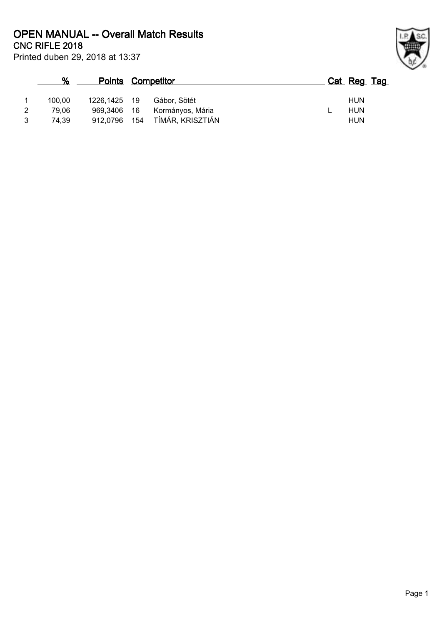**CNC RIFLE 2018 OPEN MANUAL -- Overall Match Results**

|   | %      |              | <b>Points Competitor</b> |                  |  | Cat Reg Tag |  |
|---|--------|--------------|--------------------------|------------------|--|-------------|--|
|   | 100.00 | 1226.1425 19 |                          | Gábor, Sötét     |  | <b>HUN</b>  |  |
| 2 | 79.06  | 969.3406 16  |                          | Kormányos, Mária |  | HUN         |  |
| 3 | 74.39  | 912,0796     | 154                      | TÍMÁR, KRISZTIÁN |  | <b>HUN</b>  |  |



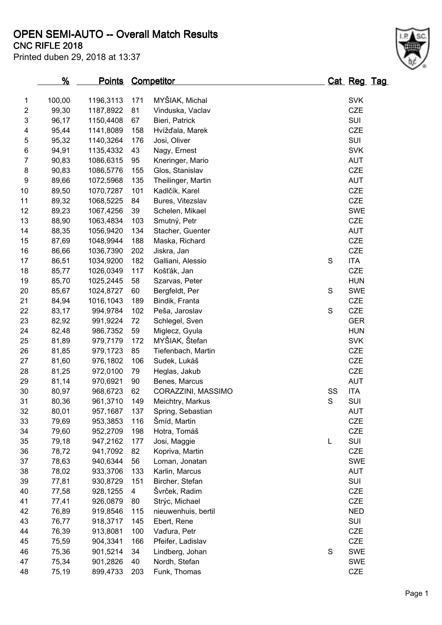# **OPEN SEMI-AUTO -- Overall Match Results**

Printed duben 29, 2018 at 13:37

# **CNC RIFLE 2018**

|                | <u>%</u> | <b>Points Competitor</b> |     |                     |             | Cat Reg Tag |  |
|----------------|----------|--------------------------|-----|---------------------|-------------|-------------|--|
| 1              | 100,00   | 1196,3113                | 171 | MYŠIAK, Michal      |             | <b>SVK</b>  |  |
| $\overline{2}$ | 99,30    | 1187,8922                | 81  | Vinduska, Vaclav    |             | CZE         |  |
| 3              | 96,17    | 1150,4408                | 67  | Bieri, Patrick      |             | SUI         |  |
| 4              | 95,44    | 1141,8089                | 158 | Hvížďala, Marek     |             | CZE         |  |
| 5              | 95,32    | 1140,3264                | 176 | Josi, Oliver        |             | SUI         |  |
| 6              | 94,91    | 1135,4332                | 43  | Nagy, Ernest        |             | <b>SVK</b>  |  |
| 7              | 90,83    | 1086,6315                | 95  | Kneringer, Mario    |             | <b>AUT</b>  |  |
| 8              | 90,83    | 1086,5776                | 155 | Glos, Stanislav     |             | CZE         |  |
| 9              | 89,66    | 1072,5968                | 135 | Theilinger, Martin  |             | <b>AUT</b>  |  |
| 10             | 89,50    | 1070,7287                | 101 | Kadlčík, Karel      |             | CZE         |  |
| 11             | 89,32    | 1068,5225                | 84  | Bures, Vitezslav    |             | CZE         |  |
| 12             | 89,23    | 1067,4256                | 39  | Schelen, Mikael     |             | <b>SWE</b>  |  |
| 13             | 88,90    | 1063,4834                | 103 | Smutný, Petr        |             | CZE         |  |
| 14             | 88,35    | 1056,9420                | 134 | Stacher, Guenter    |             | <b>AUT</b>  |  |
| 15             | 87,69    | 1048,9944                | 188 | Maska, Richard      |             | CZE         |  |
| 16             | 86,66    | 1036,7390                | 202 | Jiskra, Jan         |             | CZE         |  |
| 17             | 86,51    | 1034,9200                | 182 | Galliani, Alessio   | $\mathsf S$ | <b>ITA</b>  |  |
| 18             | 85,77    | 1026,0349                | 117 | Košťák, Jan         |             | CZE         |  |
| 19             | 85,70    | 1025,2445                | 58  | Szarvas, Peter      |             | <b>HUN</b>  |  |
| 20             | 85,67    | 1024,8727                | 60  | Bergfeldt, Per      | S           | <b>SWE</b>  |  |
| 21             | 84,94    | 1016,1043                | 189 | Bindik, Franta      |             | CZE         |  |
| 22             | 83,17    | 994,9784                 | 102 | Peša, Jaroslav      | $\mathsf S$ | CZE         |  |
| 23             | 82,92    | 991,9224                 | 72  | Schlegel, Sven      |             | <b>GER</b>  |  |
| 24             | 82,48    | 986,7352                 | 59  | Miglecz, Gyula      |             | <b>HUN</b>  |  |
| 25             | 81,89    | 979,7179                 | 172 | MYŠIAK, Štefan      |             | <b>SVK</b>  |  |
| 26             | 81,85    | 979,1723                 | 85  | Tiefenbach, Martin  |             | CZE         |  |
| 27             | 81,60    | 976,1802                 | 106 | Sudek, Lukáš        |             | CZE         |  |
| 28             | 81,25    | 972,0100                 | 79  | Heglas, Jakub       |             | CZE         |  |
| 29             | 81,14    | 970,6921                 | 90  | Benes, Marcus       |             | <b>AUT</b>  |  |
| 30             | 80,97    | 968,6723                 | 62  | CORAZZINI, MASSIMO  | SS          | <b>ITA</b>  |  |
| 31             | 80,36    | 961,3710                 | 149 | Meichtry, Markus    | $\mathsf S$ | SUI         |  |
| 32             | 80,01    | 957,1687                 | 137 | Spring, Sebastian   |             | AUT         |  |
| 33             | 79,69    | 953,3853                 | 116 | Šmíd, Martin        |             | <b>CZE</b>  |  |
| 34             | 79,60    | 952,2709                 | 198 | Hotra, Tomáš        |             | <b>CZE</b>  |  |
| 35             | 79,18    | 947,2162                 | 177 | Josi, Maggie        | L           | SUI         |  |
| 36             | 78,72    | 941,7092                 | 82  | Kopriva, Martin     |             | CZE         |  |
| 37             | 78,63    | 940,6344                 | 56  | Loman, Jonatan      |             | <b>SWE</b>  |  |
| 38             | 78,02    | 933,3706                 | 133 | Karlin, Marcus      |             | <b>AUT</b>  |  |
| 39             | 77,81    | 930,8729                 | 151 | Bircher, Stefan     |             | SUI         |  |
| 40             | 77,58    | 928,1255                 | 4   | Švrček, Radim       |             | <b>CZE</b>  |  |
| 41             | 77,41    | 926,0879                 | 80  | Strýc, Michael      |             | <b>CZE</b>  |  |
| 42             | 76,89    | 919,8546                 | 115 | nieuwenhuis, bertil |             | <b>NED</b>  |  |
| 43             | 76,77    | 918,3717                 | 145 | Ebert, Rene         |             | SUI         |  |
| 44             | 76,39    | 913,8081                 | 100 | Vaďura, Petr        |             | <b>CZE</b>  |  |
| 45             | 75,59    | 904,3341                 | 166 | Pfeifer, Ladislav   |             | CZE         |  |
| 46             | 75,36    | 901,5214                 | 34  | Lindberg, Johan     | $\mathsf S$ | <b>SWE</b>  |  |
| 47             | 75,34    | 901,2826                 | 40  | Nordh, Stefan       |             | <b>SWE</b>  |  |
| 48             | 75,19    | 899,4733                 | 203 | Funk, Thomas        |             | CZE         |  |

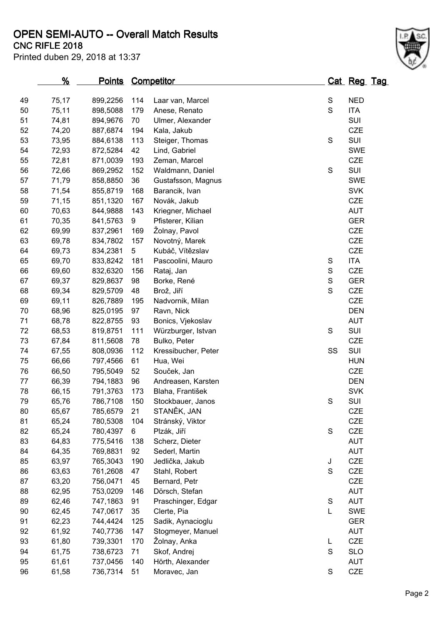### **CNC RIFLE 2018 OPEN SEMI-AUTO -- Overall Match Results**

Printed duben 29, 2018 at 13:37

|    | <u>%</u> | <u>Points</u> |     | <b>Competitor</b>   |               | Cat Reg Tag |  |
|----|----------|---------------|-----|---------------------|---------------|-------------|--|
|    |          |               |     |                     |               |             |  |
| 49 | 75,17    | 899,2256      | 114 | Laar van, Marcel    | ${\mathsf S}$ | <b>NED</b>  |  |
| 50 | 75,11    | 898,5088      | 179 | Anese, Renato       | $\mathbf S$   | <b>ITA</b>  |  |
| 51 | 74,81    | 894,9676      | 70  | Ulmer, Alexander    |               | SUI         |  |
| 52 | 74,20    | 887,6874      | 194 | Kala, Jakub         |               | <b>CZE</b>  |  |
| 53 | 73,95    | 884,6138      | 113 | Steiger, Thomas     | ${\mathsf S}$ | SUI         |  |
| 54 | 72,93    | 872,5284      | 42  | Lind, Gabriel       |               | <b>SWE</b>  |  |
| 55 | 72,81    | 871,0039      | 193 | Zeman, Marcel       |               | <b>CZE</b>  |  |
| 56 | 72,66    | 869,2952      | 152 | Waldmann, Daniel    | ${\mathsf S}$ | SUI         |  |
| 57 | 71,79    | 858,8850      | 36  | Gustafsson, Magnus  |               | <b>SWE</b>  |  |
| 58 | 71,54    | 855,8719      | 168 | Barancik, Ivan      |               | <b>SVK</b>  |  |
| 59 | 71,15    | 851,1320      | 167 | Novák, Jakub        |               | <b>CZE</b>  |  |
| 60 | 70,63    | 844,9888      | 143 | Kriegner, Michael   |               | AUT         |  |
| 61 | 70,35    | 841,5763      | 9   | Pfisterer, Kilian   |               | <b>GER</b>  |  |
| 62 | 69,99    | 837,2961      | 169 | Žolnay, Pavol       |               | CZE         |  |
| 63 | 69,78    | 834,7802      | 157 | Novotný, Marek      |               | CZE         |  |
| 64 | 69,73    | 834,2381      | 5   | Kubáč, Vítězslav    |               | CZE         |  |
| 65 | 69,70    | 833,8242      | 181 | Pascoolini, Mauro   | $\mathsf S$   | <b>ITA</b>  |  |
| 66 | 69,60    | 832,6320      | 156 | Rataj, Jan          | ${\mathsf S}$ | CZE         |  |
| 67 | 69,37    | 829,8637      | 98  | Borke, René         | $\mathbf S$   | <b>GER</b>  |  |
| 68 | 69,34    | 829,5709      | 48  | Brož, Jiří          | $\mathbf S$   | CZE         |  |
| 69 | 69,11    | 826,7889      | 195 | Nadvornik, Milan    |               | CZE         |  |
| 70 | 68,96    | 825,0195      | 97  | Ravn, Nick          |               | <b>DEN</b>  |  |
| 71 | 68,78    | 822,8755      | 93  | Bonics, Vjekoslav   |               | <b>AUT</b>  |  |
| 72 | 68,53    | 819,8751      | 111 | Würzburger, Istvan  | $\mathbf S$   | SUI         |  |
| 73 | 67,84    | 811,5608      | 78  | Bulko, Peter        |               | CZE         |  |
| 74 | 67,55    | 808,0936      | 112 | Kressibucher, Peter | SS            | SUI         |  |
| 75 | 66,66    | 797,4566      | 61  | Hua, Wei            |               | <b>HUN</b>  |  |
| 76 | 66,50    | 795,5049      | 52  | Souček, Jan         |               | CZE         |  |
| 77 | 66,39    | 794,1883      | 96  | Andreasen, Karsten  |               | <b>DEN</b>  |  |
| 78 | 66,15    | 791,3763      | 173 | Blaha, František    |               | <b>SVK</b>  |  |
| 79 | 65,76    | 786,7108      | 150 | Stockbauer, Janos   | ${\mathsf S}$ | SUI         |  |
| 80 | 65,67    | 785,6579      | 21  | STANĚK, JAN         |               | CZE         |  |
| 81 | 65,24    | 780,5308      | 104 | Stránský, Viktor    |               | CZE         |  |
| 82 | 65,24    | 780,4397      | 6   | Plzák, Jiří         | ${\mathsf S}$ | CZE         |  |
| 83 | 64,83    | 775,5416      | 138 | Scherz, Dieter      |               | <b>AUT</b>  |  |
| 84 | 64,35    | 769,8831      | 92  | Sederl, Martin      |               | AUT         |  |
| 85 | 63,97    | 765,3043      | 190 | Jedlička, Jakub     | J             | <b>CZE</b>  |  |
| 86 | 63,63    | 761,2608      | 47  | Stahl, Robert       | $\mathbf S$   | CZE         |  |
| 87 | 63,20    | 756,0471      | 45  | Bernard, Petr       |               | CZE         |  |
| 88 | 62,95    | 753,0209      | 146 | Dörsch, Stefan      |               | AUT         |  |
| 89 | 62,46    | 747,1863      | 91  | Praschinger, Edgar  | ${\mathsf S}$ | <b>AUT</b>  |  |
| 90 | 62,45    | 747,0617      | 35  | Clerte, Pia         | L             | <b>SWE</b>  |  |
| 91 | 62,23    | 744,4424      | 125 | Sadik, Aynacioglu   |               | <b>GER</b>  |  |
| 92 | 61,92    | 740,7736      | 147 | Stogmeyer, Manuel   |               | AUT         |  |
| 93 | 61,80    | 739,3301      | 170 | Žolnay, Anka        | L             | <b>CZE</b>  |  |
| 94 | 61,75    | 738,6723      | 71  | Skof, Andrej        | ${\mathsf S}$ | <b>SLO</b>  |  |
| 95 | 61,61    | 737,0456      | 140 | Hörth, Alexander    |               | <b>AUT</b>  |  |
| 96 | 61,58    | 736,7314      | 51  | Moravec, Jan        | ${\mathsf S}$ | CZE         |  |

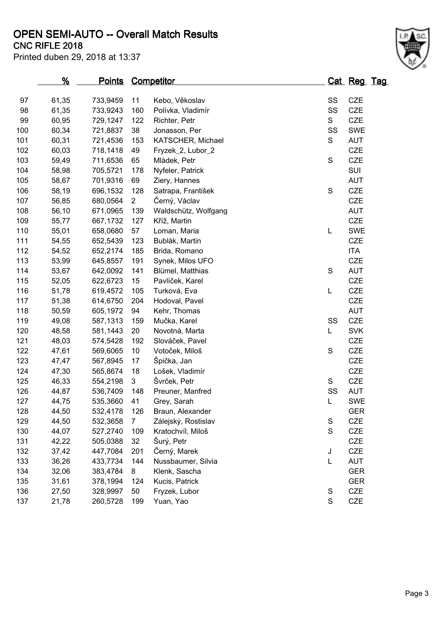**OPEN SEMI-AUTO -- Overall Match Results**

Printed duben 29, 2018 at 13:37

## **CNC RIFLE 2018**

|     | <u>%</u> | <u>Points</u> |                | <b>Competitor</b>    |               | <u>Cat Reg Tag</u> |  |
|-----|----------|---------------|----------------|----------------------|---------------|--------------------|--|
| 97  | 61,35    | 733,9459      | 11             | Kebo, Věkoslav       | SS            | CZE                |  |
| 98  | 61,35    | 733,9243      | 160            | Polívka, Vladimír    | SS            | <b>CZE</b>         |  |
| 99  | 60,95    | 729,1247      | 122            | Richter, Petr        | S             | <b>CZE</b>         |  |
| 100 | 60,34    | 721,8837      | 38             | Jonasson, Per        | SS            | <b>SWE</b>         |  |
| 101 | 60,31    | 721,4536      | 153            | KATSCHER, Michael    | S             | <b>AUT</b>         |  |
| 102 | 60,03    | 718,1418      | 49             | Fryzek_2, Lubor_2    |               | <b>CZE</b>         |  |
| 103 | 59,49    | 711,6536      | 65             | Mládek, Petr         | $\mathbf S$   | <b>CZE</b>         |  |
| 104 | 58,98    | 705,5721      | 178            | Nyfeler, Patrick     |               | SUI                |  |
| 105 | 58,67    | 701,9316      | 69             | Ziery, Hannes        |               | <b>AUT</b>         |  |
| 106 | 58,19    | 696,1532      | 128            | Satrapa, František   | ${\mathsf S}$ | <b>CZE</b>         |  |
| 107 | 56,85    | 680,0564      | $\overline{2}$ | Černý, Václav        |               | <b>CZE</b>         |  |
| 108 | 56,10    | 671,0965      | 139            | Waldschütz, Wolfgang |               | <b>AUT</b>         |  |
| 109 | 55,77    | 667,1732      | 127            | Kříž, Martin         |               | <b>CZE</b>         |  |
| 110 | 55,01    | 658,0680      | 57             | Loman, Maria         | L             | <b>SWE</b>         |  |
| 111 | 54,55    | 652,5439      | 123            | Bublák, Martin       |               | <b>CZE</b>         |  |
| 112 | 54,52    | 652,2174      | 185            | Brida, Romano        |               | <b>ITA</b>         |  |
| 113 | 53,99    | 645,8557      | 191            | Synek, Milos UFO     |               | <b>CZE</b>         |  |
| 114 | 53,67    | 642,0092      | 141            | Blümel, Matthias     | ${\mathsf S}$ | <b>AUT</b>         |  |
| 115 | 52,05    | 622,6723      | 15             | Pavlíček, Karel      |               | <b>CZE</b>         |  |
| 116 | 51,78    | 619,4572      | 105            | Turková, Eva         | L             | <b>CZE</b>         |  |
| 117 | 51,38    | 614,6750      | 204            | Hodoval, Pavel       |               | <b>CZE</b>         |  |
| 118 | 50,59    | 605,1972      | 94             | Kehr, Thomas         |               | <b>AUT</b>         |  |
| 119 | 49,08    | 587,1313      | 159            | Mučka, Karel         | SS            | <b>CZE</b>         |  |
| 120 | 48,58    | 581,1443      | 20             | Novotná, Marta       | L             | <b>SVK</b>         |  |
| 121 | 48,03    | 574,5428      | 192            | Slováček, Pavel      |               | <b>CZE</b>         |  |
| 122 | 47,61    | 569,6065      | 10             | Votoček, Miloš       | $\mathsf S$   | <b>CZE</b>         |  |
| 123 | 47,47    | 567,8945      | 17             | Špička, Jan          |               | <b>CZE</b>         |  |
| 124 | 47,30    | 565,8674      | 18             | Lošek, Vladimír      |               | <b>CZE</b>         |  |
| 125 | 46,33    | 554,2198      | 3              | Švrček, Petr         | S             | <b>CZE</b>         |  |
| 126 | 44,87    | 536,7409      | 148            | Preuner, Manfred     | SS            | <b>AUT</b>         |  |
| 127 | 44,75    | 535,3660      | 41             | Grey, Sarah          | Г             | SWE                |  |
| 128 | 44,50    | 532,4178      | 126            | Braun, Alexander     |               | <b>GER</b>         |  |
| 129 | 44,50    | 532,3658      | 7              | Zálejský, Rostislav  | S             | <b>CZE</b>         |  |
| 130 | 44,07    | 527,2740      | 109            | Kratochvíl, Miloš    | S             | CZE                |  |
| 131 | 42,22    | 505,0388      | 32             | Šurý, Petr           |               | <b>CZE</b>         |  |
| 132 | 37,42    | 447,7084      | 201            | Černý, Marek         | J             | <b>CZE</b>         |  |
| 133 | 36,26    | 433,7734      | 144            | Nussbaumer, Silvia   | L             | <b>AUT</b>         |  |
| 134 | 32,06    | 383,4784      | 8              | Klenk, Sascha        |               | <b>GER</b>         |  |
| 135 | 31,61    | 378,1994      | 124            | Kucis, Patrick       |               | <b>GER</b>         |  |
| 136 | 27,50    | 328,9997      | 50             | Fryzek, Lubor        | ${\mathsf S}$ | <b>CZE</b>         |  |
| 137 | 21,78    | 260,5728      | 199            | Yuan, Yao            | $\mathsf S$   | <b>CZE</b>         |  |
|     |          |               |                |                      |               |                    |  |

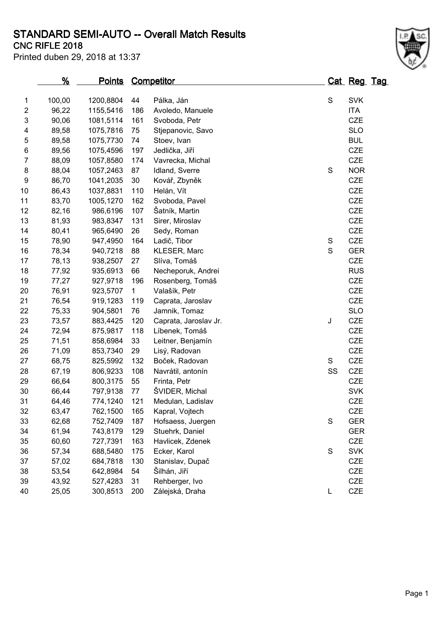### **CNC RIFLE 2018 STANDARD SEMI-AUTO -- Overall Match Results**

Printed duben 29, 2018 at 13:37

|                | <u>%</u> | <u>Points</u> |              | <u>Competitor</u>     |             | <u>Cat Reg Tag</u> |  |
|----------------|----------|---------------|--------------|-----------------------|-------------|--------------------|--|
| 1              | 100,00   | 1200,8804     | 44           | Pálka, Ján            | S           | <b>SVK</b>         |  |
| $\overline{c}$ | 96,22    | 1155,5416     | 186          | Avoledo, Manuele      |             | <b>ITA</b>         |  |
| 3              | 90,06    | 1081,5114     | 161          | Svoboda, Petr         |             | CZE                |  |
| 4              | 89,58    | 1075,7816     | 75           | Stjepanovic, Savo     |             | <b>SLO</b>         |  |
| 5              | 89,58    | 1075,7730     | 74           | Stoev, Ivan           |             | <b>BUL</b>         |  |
| 6              | 89,56    | 1075,4596     | 197          | Jedlička, Jiří        |             | CZE                |  |
| $\overline{7}$ | 88,09    | 1057,8580     | 174          | Vavrecka, Michal      |             | CZE                |  |
| 8              | 88,04    | 1057,2463     | 87           | Idland, Sverre        | $\mathbf S$ | <b>NOR</b>         |  |
| 9              | 86,70    | 1041,2035     | 30           | Kovář, Zbyněk         |             | <b>CZE</b>         |  |
| 10             | 86,43    | 1037,8831     | 110          | Helán, Vít            |             | CZE                |  |
| 11             | 83,70    | 1005,1270     | 162          | Svoboda, Pavel        |             | CZE                |  |
| 12             | 82,16    | 986,6196      | 107          | Šatník, Martin        |             | <b>CZE</b>         |  |
| 13             | 81,93    | 983,8347      | 131          | Sirer, Miroslav       |             | <b>CZE</b>         |  |
| 14             | 80,41    | 965,6490      | 26           | Sedy, Roman           |             | CZE                |  |
| 15             | 78,90    | 947,4950      | 164          | Ladič, Tibor          | S           | <b>CZE</b>         |  |
| 16             | 78,34    | 940,7218      | 88           | KLESER, Marc          | $\mathbf S$ | <b>GER</b>         |  |
| 17             | 78,13    | 938,2507      | 27           | Slíva, Tomáš          |             | <b>CZE</b>         |  |
| 18             | 77,92    | 935,6913      | 66           | Necheporuk, Andrei    |             | <b>RUS</b>         |  |
| 19             | 77,27    | 927,9718      | 196          | Rosenberg, Tomáš      |             | CZE                |  |
| 20             | 76,91    | 923,5707      | $\mathbf{1}$ | Valašík, Petr         |             | <b>CZE</b>         |  |
| 21             | 76,54    | 919,1283      | 119          | Caprata, Jaroslav     |             | <b>CZE</b>         |  |
| 22             | 75,33    | 904,5801      | 76           | Jamnik, Tomaz         |             | <b>SLO</b>         |  |
| 23             | 73,57    | 883,4425      | 120          | Caprata, Jaroslav Jr. | J           | <b>CZE</b>         |  |
| 24             | 72,94    | 875,9817      | 118          | Líbenek, Tomáš        |             | <b>CZE</b>         |  |
| 25             | 71,51    | 858,6984      | 33           | Leitner, Benjamín     |             | <b>CZE</b>         |  |
| 26             | 71,09    | 853,7340      | 29           | Lisý, Radovan         |             | CZE                |  |
| 27             | 68,75    | 825,5992      | 132          | Boček, Radovan        | S           | CZE                |  |
| 28             | 67,19    | 806,9233      | 108          | Navrátil, antonín     | SS          | <b>CZE</b>         |  |
| 29             | 66,64    | 800,3175      | 55           | Frinta, Petr          |             | <b>CZE</b>         |  |
| 30             | 66,44    | 797,9138      | 77           | ŠVIDER, Michal        |             | <b>SVK</b>         |  |
| 31             | 64,46    | 774,1240      | 121          | Medulan, Ladislav     |             | <b>CZE</b>         |  |
| 32             | 63,47    | 762,1500      | 165          | Kapral, Vojtech       |             | <b>CZE</b>         |  |
| 33             | 62,68    | 752,7409      | 187          | Hofsaess, Juergen     | S           | <b>GER</b>         |  |
| 34             | 61,94    | 743,8179      | 129          | Stuehrk, Daniel       |             | <b>GER</b>         |  |
| 35             | 60,60    | 727,7391      | 163          | Havlicek, Zdenek      |             | CZE                |  |
| 36             | 57,34    | 688,5480      | 175          | Ecker, Karol          | S           | <b>SVK</b>         |  |
| 37             | 57,02    | 684,7818      | 130          | Stanislav, Dupač      |             | <b>CZE</b>         |  |
| 38             | 53,54    | 642,8984      | 54           | Šilhán, Jiří          |             | CZE                |  |
| 39             | 43,92    | 527,4283      | 31           | Rehberger, Ivo        |             | CZE                |  |

25,05 300,8513 200 Zálejská, Draha L CZE